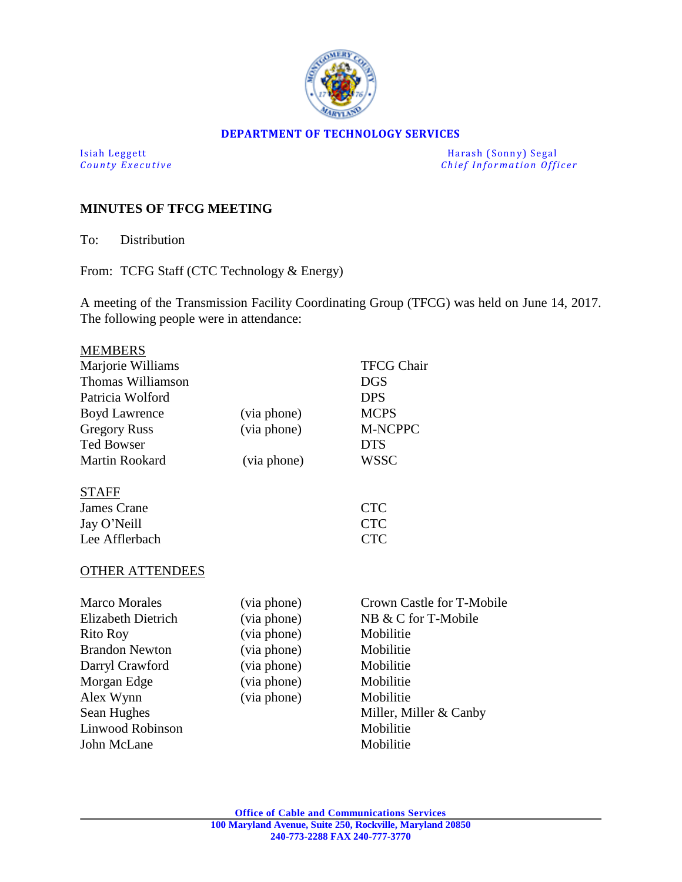

#### **DEPARTMENT OF TECHNOLOGY SERVICES**

Isiah Leggett Harash (Sonny) Segal<br>
County Executive County Executive Chief Information Officers *Chief Information Officer* 

# **MINUTES OF TFCG MEETING**

To: Distribution

From: TCFG Staff (CTC Technology & Energy)

A meeting of the Transmission Facility Coordinating Group (TFCG) was held on June 14, 2017. The following people were in attendance:

| <b>MEMBERS</b>         |             |                           |
|------------------------|-------------|---------------------------|
| Marjorie Williams      |             | <b>TFCG Chair</b>         |
| Thomas Williamson      |             | <b>DGS</b>                |
| Patricia Wolford       |             | <b>DPS</b>                |
| <b>Boyd Lawrence</b>   | (via phone) | <b>MCPS</b>               |
| <b>Gregory Russ</b>    | (via phone) | <b>M-NCPPC</b>            |
| <b>Ted Bowser</b>      |             | <b>DTS</b>                |
| <b>Martin Rookard</b>  | (via phone) | <b>WSSC</b>               |
| <b>STAFF</b>           |             |                           |
| <b>James Crane</b>     |             | <b>CTC</b>                |
| Jay O'Neill            |             | <b>CTC</b>                |
| Lee Afflerbach         |             | <b>CTC</b>                |
| <b>OTHER ATTENDEES</b> |             |                           |
| <b>Marco Morales</b>   | (via phone) | Crown Castle for T-Mobile |
| Elizabeth Dietrich     | (via phone) | NB & C for T-Mobile       |
| <b>Rito Roy</b>        | (via phone) | Mobilitie                 |
| <b>Brandon Newton</b>  | (via phone) | Mobilitie                 |
| Darryl Crawford        | (via phone) | Mobilitie                 |
| Morgan Edge            | (via phone) | Mobilitie                 |
| Alex Wynn              | (via phone) | Mobilitie                 |
| Sean Hughes            |             | Miller, Miller & Canby    |
| Linwood Robinson       |             | Mobilitie                 |
| John McLane            |             | Mobilitie                 |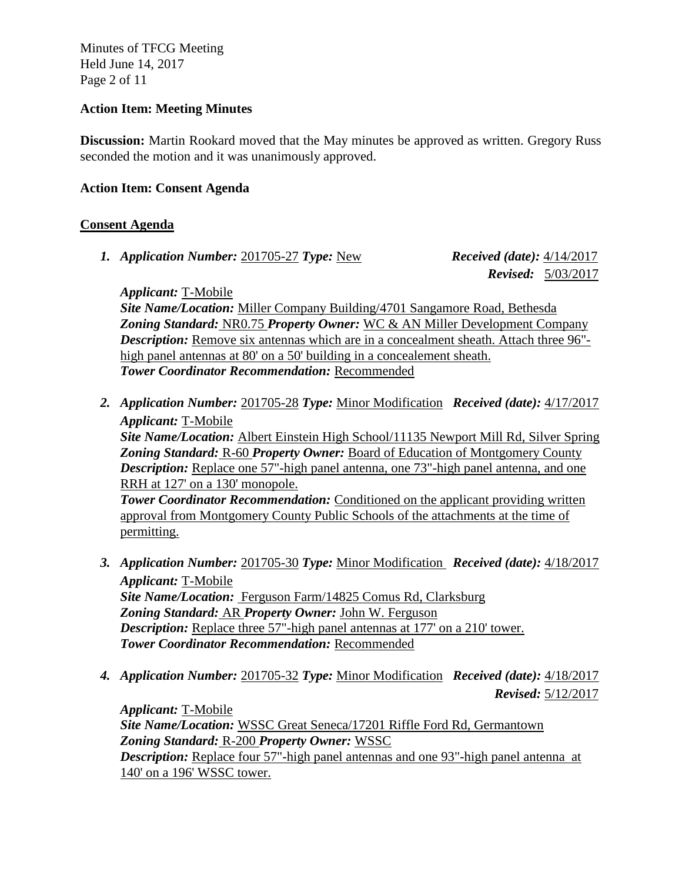Minutes of TFCG Meeting Held June 14, 2017 Page 2 of 11

#### **Action Item: Meeting Minutes**

**Discussion:** Martin Rookard moved that the May minutes be approved as written. Gregory Russ seconded the motion and it was unanimously approved.

# **Action Item: Consent Agenda**

# **Consent Agenda**

*1. Application Number:* 201705-27 *Type:* New *Received (date):* 4/14/2017

 *Revised:* 5/03/2017

*Applicant:* T-Mobile

*Site Name/Location:* Miller Company Building/4701 Sangamore Road, Bethesda *Zoning Standard:* NR0.75 *Property Owner:* WC & AN Miller Development Company *Description:* Remove six antennas which are in a concealment sheath. Attach three 96"high panel antennas at 80' on a 50' building in a concealement sheath. *Tower Coordinator Recommendation:* Recommended

*2. Application Number:* 201705-28 *Type:* Minor Modification *Received (date):* 4/17/2017 *Applicant:* T-Mobile *Site Name/Location:* Albert Einstein High School/11135 Newport Mill Rd, Silver Spring *Zoning Standard:* R-60 *Property Owner:* Board of Education of Montgomery County

*Description:* Replace one 57"-high panel antenna, one 73"-high panel antenna, and one RRH at 127' on a 130' monopole. **Tower Coordinator Recommendation:** Conditioned on the applicant providing written

approval from Montgomery County Public Schools of the attachments at the time of permitting.

- *3. Application Number:* 201705-30 *Type:* Minor Modification *Received (date):* 4/18/2017 *Applicant:* T-Mobile *Site Name/Location:* Ferguson Farm/14825 Comus Rd, Clarksburg *Zoning Standard:* AR *Property Owner:* John W. Ferguson *Description:* Replace three 57"-high panel antennas at 177' on a 210' tower. *Tower Coordinator Recommendation:* Recommended
- *4. Application Number:* 201705-32 *Type:* Minor Modification *Received (date):* 4/18/2017  *Revised:* 5/12/2017

*Applicant:* T-Mobile *Site Name/Location:* WSSC Great Seneca/17201 Riffle Ford Rd, Germantown *Zoning Standard:* R-200 *Property Owner:* WSSC *Description:* Replace four 57"-high panel antennas and one 93"-high panel antenna at 140' on a 196' WSSC tower.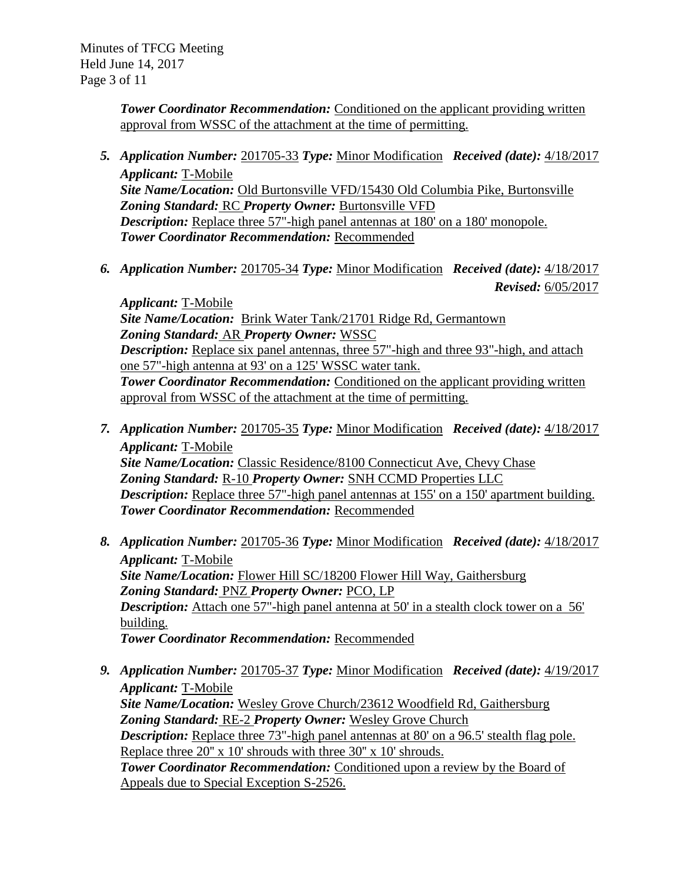*Tower Coordinator Recommendation:* Conditioned on the applicant providing written approval from WSSC of the attachment at the time of permitting.

- *5. Application Number:* 201705-33 *Type:* Minor Modification *Received (date):* 4/18/2017 *Applicant:* T-Mobile *Site Name/Location:* Old Burtonsville VFD/15430 Old Columbia Pike, Burtonsville *Zoning Standard:* RC *Property Owner:* Burtonsville VFD *Description:* Replace three 57"-high panel antennas at 180' on a 180' monopole. *Tower Coordinator Recommendation:* Recommended
- *6. Application Number:* 201705-34 *Type:* Minor Modification *Received (date):* 4/18/2017  *Revised:* 6/05/2017

*Applicant:* T-Mobile *Site Name/Location:* Brink Water Tank/21701 Ridge Rd, Germantown *Zoning Standard:* AR *Property Owner:* WSSC *Description:* Replace six panel antennas, three 57"-high and three 93"-high, and attach one 57"-high antenna at 93' on a 125' WSSC water tank. **Tower Coordinator Recommendation:** Conditioned on the applicant providing written approval from WSSC of the attachment at the time of permitting.

- *7. Application Number:* 201705-35 *Type:* Minor Modification *Received (date):* 4/18/2017 *Applicant:* T-Mobile *Site Name/Location:* Classic Residence/8100 Connecticut Ave, Chevy Chase *Zoning Standard:* R-10 *Property Owner:* SNH CCMD Properties LLC *Description:* Replace three 57"-high panel antennas at 155' on a 150' apartment building. *Tower Coordinator Recommendation:* Recommended
- *8. Application Number:* 201705-36 *Type:* Minor Modification *Received (date):* 4/18/2017 *Applicant:* T-Mobile *Site Name/Location:* Flower Hill SC/18200 Flower Hill Way, Gaithersburg *Zoning Standard:* PNZ *Property Owner:* PCO, LP *Description:* Attach one 57"-high panel antenna at 50' in a stealth clock tower on a 56' building. *Tower Coordinator Recommendation:* Recommended
- *9. Application Number:* 201705-37 *Type:* Minor Modification *Received (date):* 4/19/2017 *Applicant:* T-Mobile *Site Name/Location:* Wesley Grove Church/23612 Woodfield Rd, Gaithersburg *Zoning Standard:* RE-2 *Property Owner:* Wesley Grove Church *Description:* Replace three 73"-high panel antennas at 80' on a 96.5' stealth flag pole. Replace three 20" x 10' shrouds with three 30" x 10' shrouds. *Tower Coordinator Recommendation:* Conditioned upon a review by the Board of Appeals due to Special Exception S-2526.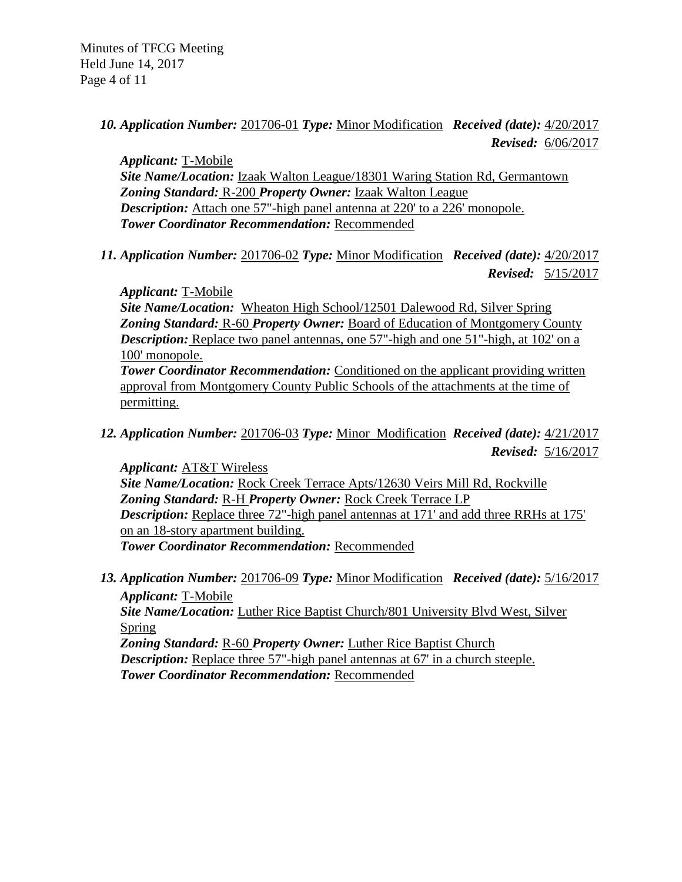*10. Application Number:* 201706-01 *Type:* Minor Modification *Received (date):* 4/20/2017  *Revised:* 6/06/2017

*Applicant:* T-Mobile **Site Name/Location: Izaak Walton League/18301 Waring Station Rd, Germantown** *Zoning Standard:* R-200 *Property Owner:* Izaak Walton League *Description:* Attach one 57"-high panel antenna at 220' to a 226' monopole. *Tower Coordinator Recommendation:* Recommended

*11. Application Number:* 201706-02 *Type:* Minor Modification *Received (date):* 4/20/2017  *Revised:* 5/15/2017

*Applicant:* T-Mobile *Site Name/Location:* Wheaton High School/12501 Dalewood Rd, Silver Spring *Zoning Standard:* R-60 *Property Owner:* Board of Education of Montgomery County *Description:* Replace two panel antennas, one 57"-high and one 51"-high, at 102' on a 100' monopole. *Tower Coordinator Recommendation:* Conditioned on the applicant providing written approval from Montgomery County Public Schools of the attachments at the time of permitting.

*12. Application Number:* 201706-03 *Type:* Minor Modification *Received (date):* 4/21/2017  *Revised:* 5/16/2017

*Applicant:* AT&T Wireless *Site Name/Location:* Rock Creek Terrace Apts/12630 Veirs Mill Rd, Rockville *Zoning Standard:* R-H *Property Owner:* Rock Creek Terrace LP *Description:* Replace three 72"-high panel antennas at 171' and add three RRHs at 175' on an 18-story apartment building. *Tower Coordinator Recommendation:* Recommended

*13. Application Number:* 201706-09 *Type:* Minor Modification *Received (date):* 5/16/2017 *Applicant:* T-Mobile *Site Name/Location:* Luther Rice Baptist Church/801 University Blvd West, Silver Spring *Zoning Standard:* R-60 *Property Owner:* Luther Rice Baptist Church *Description:* Replace three 57"-high panel antennas at 67' in a church steeple.

*Tower Coordinator Recommendation:* Recommended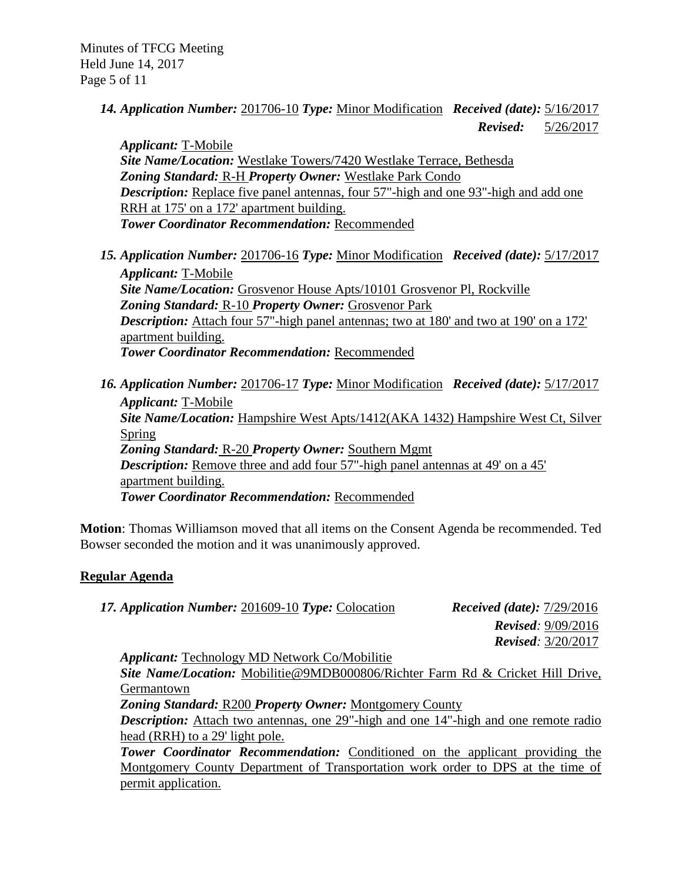*14. Application Number:* 201706-10 *Type:* Minor Modification *Received (date):* 5/16/2017  *Revised:* 5/26/2017

*Applicant:* T-Mobile *Site Name/Location:* Westlake Towers/7420 Westlake Terrace, Bethesda *Zoning Standard:* R-H *Property Owner:* Westlake Park Condo *Description:* Replace five panel antennas, four 57"-high and one 93"-high and add one RRH at 175' on a 172' apartment building. *Tower Coordinator Recommendation:* Recommended

- *15. Application Number:* 201706-16 *Type:* Minor Modification *Received (date):* 5/17/2017 *Applicant:* T-Mobile *Site Name/Location:* Grosvenor House Apts/10101 Grosvenor Pl, Rockville *Zoning Standard:* R-10 *Property Owner:* Grosvenor Park *Description:* Attach four 57"-high panel antennas; two at 180' and two at 190' on a 172' apartment building. *Tower Coordinator Recommendation:* Recommended
- *16. Application Number:* 201706-17 *Type:* Minor Modification *Received (date):* 5/17/2017 *Applicant:* T-Mobile *Site Name/Location:* Hampshire West Apts/1412(AKA 1432) Hampshire West Ct, Silver Spring *Zoning Standard:* R-20 *Property Owner:* Southern Mgmt *Description:* Remove three and add four 57"-high panel antennas at 49' on a 45' apartment building. *Tower Coordinator Recommendation:* Recommended

**Motion**: Thomas Williamson moved that all items on the Consent Agenda be recommended. Ted Bowser seconded the motion and it was unanimously approved.

# **Regular Agenda**

*17. Application Number:* 201609-10 *Type:* Colocation *Received (date):* 7/29/2016

 *Revised:* 9/09/2016 *Revised:* 3/20/2017

*Applicant:* Technology MD Network Co/Mobilitie

*Site Name/Location:* Mobilitie@9MDB000806/Richter Farm Rd & Cricket Hill Drive, Germantown

*Zoning Standard:* R200 *Property Owner:* Montgomery County

*Description:* Attach two antennas, one 29"-high and one 14"-high and one remote radio head (RRH) to a 29' light pole.

**Tower Coordinator Recommendation:** Conditioned on the applicant providing the Montgomery County Department of Transportation work order to DPS at the time of permit application.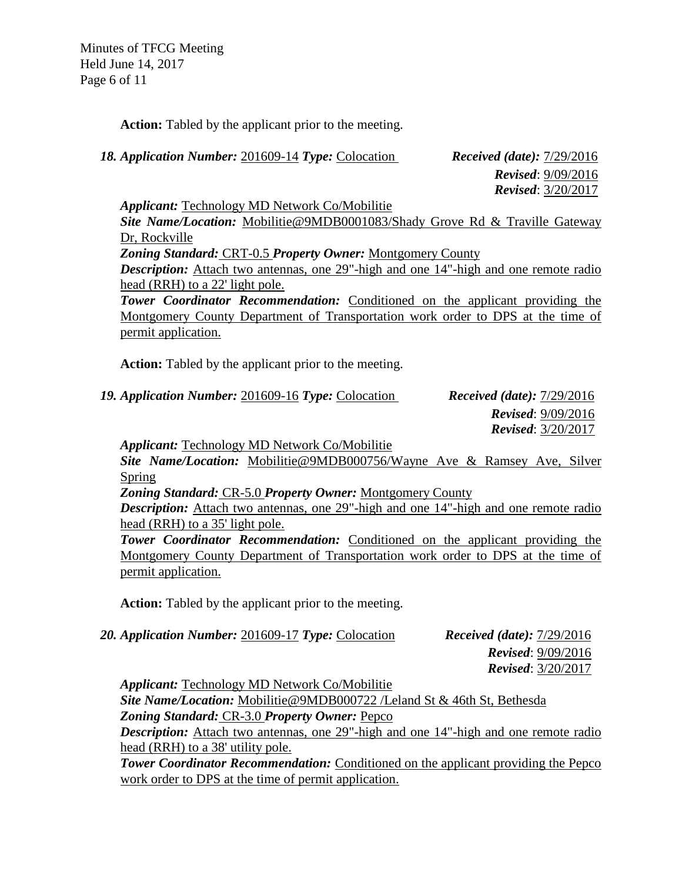Minutes of TFCG Meeting Held June 14, 2017 Page 6 of 11

**Action:** Tabled by the applicant prior to the meeting.

*18. Application Number:* 201609-14 *Type:* Colocation *Received (date):* 7/29/2016

 *Revised*: 9/09/2016 *Revised*: 3/20/2017

*Applicant:* Technology MD Network Co/Mobilitie

*Site Name/Location:* Mobilitie@9MDB0001083/Shady Grove Rd & Traville Gateway Dr, Rockville

*Zoning Standard:* CRT-0.5 *Property Owner:* Montgomery County

*Description:* Attach two antennas, one 29"-high and one 14"-high and one remote radio head (RRH) to a 22' light pole.

**Tower Coordinator Recommendation:** Conditioned on the applicant providing the Montgomery County Department of Transportation work order to DPS at the time of permit application.

**Action:** Tabled by the applicant prior to the meeting.

*19. Application Number:* 201609-16 *Type:* Colocation *Received (date):* 7/29/2016  *Revised*: 9/09/2016 *Revised*: 3/20/2017

*Applicant:* Technology MD Network Co/Mobilitie

*Site Name/Location:* Mobilitie@9MDB000756/Wayne Ave & Ramsey Ave, Silver Spring

*Zoning Standard:* CR-5.0 *Property Owner:* Montgomery County

*Description:* Attach two antennas, one 29"-high and one 14"-high and one remote radio head (RRH) to a 35' light pole.

**Tower Coordinator Recommendation:** Conditioned on the applicant providing the Montgomery County Department of Transportation work order to DPS at the time of permit application.

**Action:** Tabled by the applicant prior to the meeting.

*20. Application Number:* 201609-17 *Type:* Colocation *Received (date):* 7/29/2016

 *Revised*: 9/09/2016 *Revised*: 3/20/2017

*Applicant:* Technology MD Network Co/Mobilitie *Site Name/Location:* Mobilitie@9MDB000722 /Leland St & 46th St, Bethesda *Zoning Standard:* CR-3.0 *Property Owner:* Pepco *Description:* Attach two antennas, one 29"-high and one 14"-high and one remote radio head (RRH) to a 38' utility pole. **Tower Coordinator Recommendation:** Conditioned on the applicant providing the Pepco

work order to DPS at the time of permit application.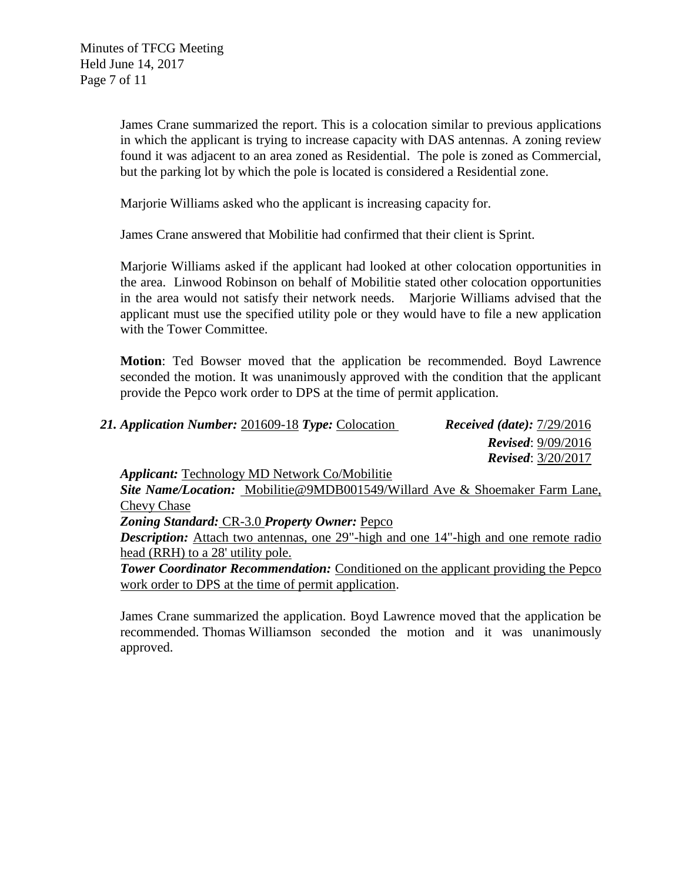James Crane summarized the report. This is a colocation similar to previous applications in which the applicant is trying to increase capacity with DAS antennas. A zoning review found it was adjacent to an area zoned as Residential. The pole is zoned as Commercial, but the parking lot by which the pole is located is considered a Residential zone.

Marjorie Williams asked who the applicant is increasing capacity for.

James Crane answered that Mobilitie had confirmed that their client is Sprint.

Marjorie Williams asked if the applicant had looked at other colocation opportunities in the area. Linwood Robinson on behalf of Mobilitie stated other colocation opportunities in the area would not satisfy their network needs. Marjorie Williams advised that the applicant must use the specified utility pole or they would have to file a new application with the Tower Committee.

**Motion**: Ted Bowser moved that the application be recommended. Boyd Lawrence seconded the motion. It was unanimously approved with the condition that the applicant provide the Pepco work order to DPS at the time of permit application.

| 21. Application Number: 201609-18 Type: Colocation | <b>Received (date):</b> $7/29/2016$ |
|----------------------------------------------------|-------------------------------------|
|                                                    | <b>Revised:</b> $9/09/2016$         |
|                                                    | <b>Revised:</b> $3/20/2017$         |

*Applicant:* Technology MD Network Co/Mobilitie

*Site Name/Location:* Mobilitie@9MDB001549/Willard Ave & Shoemaker Farm Lane, Chevy Chase

*Zoning Standard:* CR-3.0 *Property Owner:* Pepco

*Description:* Attach two antennas, one 29"-high and one 14"-high and one remote radio head (RRH) to a 28' utility pole.

**Tower Coordinator Recommendation:** Conditioned on the applicant providing the Pepco work order to DPS at the time of permit application.

James Crane summarized the application. Boyd Lawrence moved that the application be recommended. Thomas Williamson seconded the motion and it was unanimously approved.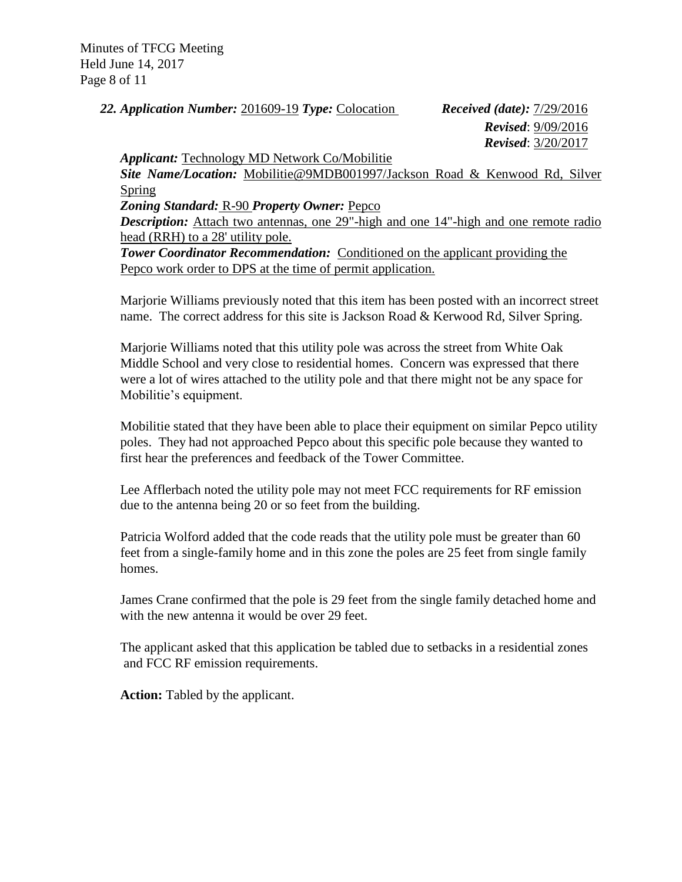Minutes of TFCG Meeting Held June 14, 2017 Page 8 of 11

*22. Application Number:* 201609-19 *Type:* Colocation *Received (date):* 7/29/2016

 *Revised*: 9/09/2016 *Revised*: 3/20/2017

*Applicant:* Technology MD Network Co/Mobilitie

*Site Name/Location:* Mobilitie@9MDB001997/Jackson Road & Kenwood Rd, Silver Spring

*Zoning Standard:* R-90 *Property Owner:* Pepco

*Description:* Attach two antennas, one 29"-high and one 14"-high and one remote radio head (RRH) to a 28' utility pole.

**Tower Coordinator Recommendation:** Conditioned on the applicant providing the Pepco work order to DPS at the time of permit application.

Marjorie Williams previously noted that this item has been posted with an incorrect street name. The correct address for this site is Jackson Road & Kerwood Rd, Silver Spring.

Marjorie Williams noted that this utility pole was across the street from White Oak Middle School and very close to residential homes. Concern was expressed that there were a lot of wires attached to the utility pole and that there might not be any space for Mobilitie's equipment.

Mobilitie stated that they have been able to place their equipment on similar Pepco utility poles. They had not approached Pepco about this specific pole because they wanted to first hear the preferences and feedback of the Tower Committee.

Lee Afflerbach noted the utility pole may not meet FCC requirements for RF emission due to the antenna being 20 or so feet from the building.

Patricia Wolford added that the code reads that the utility pole must be greater than 60 feet from a single-family home and in this zone the poles are 25 feet from single family homes.

James Crane confirmed that the pole is 29 feet from the single family detached home and with the new antenna it would be over 29 feet.

The applicant asked that this application be tabled due to setbacks in a residential zones and FCC RF emission requirements.

**Action:** Tabled by the applicant.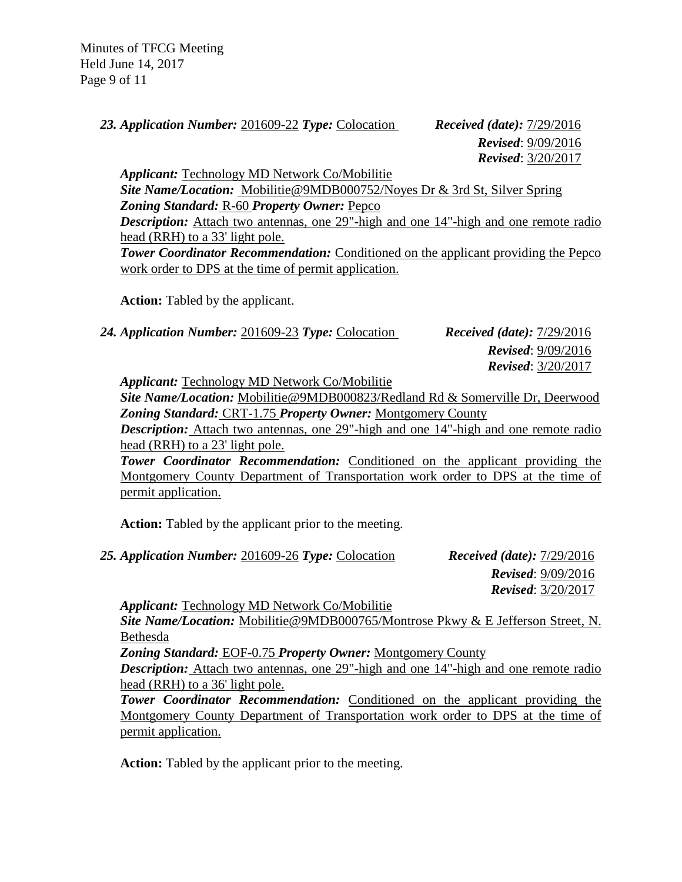Minutes of TFCG Meeting Held June 14, 2017 Page 9 of 11

*23. Application Number:* 201609-22 *Type:* Colocation *Received (date):* 7/29/2016

 *Revised*: 9/09/2016 *Revised*: 3/20/2017

*Applicant:* Technology MD Network Co/Mobilitie *Site Name/Location:* Mobilitie@9MDB000752/Noyes Dr & 3rd St, Silver Spring *Zoning Standard:* R-60 *Property Owner:* Pepco *Description:* Attach two antennas, one 29"-high and one 14"-high and one remote radio head (RRH) to a 33' light pole. **Tower Coordinator Recommendation:** Conditioned on the applicant providing the Pepco work order to DPS at the time of permit application.

**Action:** Tabled by the applicant.

*24. Application Number:* 201609-23 *Type:* Colocation *Received (date):* 7/29/2016

 *Revised*: 9/09/2016 *Revised*: 3/20/2017

*Applicant:* Technology MD Network Co/Mobilitie

*Site Name/Location:* Mobilitie@9MDB000823/Redland Rd & Somerville Dr, Deerwood *Zoning Standard:* CRT-1.75 *Property Owner:* Montgomery County

*Description:* Attach two antennas, one 29"-high and one 14"-high and one remote radio head (RRH) to a 23' light pole.

**Tower Coordinator Recommendation:** Conditioned on the applicant providing the Montgomery County Department of Transportation work order to DPS at the time of permit application.

**Action:** Tabled by the applicant prior to the meeting.

*25. Application Number:* 201609-26 *Type:* Colocation *Received (date):* 7/29/2016

 *Revised*: 9/09/2016 *Revised*: 3/20/2017

*Applicant:* Technology MD Network Co/Mobilitie

*Site Name/Location:* Mobilitie@9MDB000765/Montrose Pkwy & E Jefferson Street, N. Bethesda

*Zoning Standard:* EOF-0.75 *Property Owner:* Montgomery County

*Description:* Attach two antennas, one 29"-high and one 14"-high and one remote radio head (RRH) to a 36' light pole.

**Tower Coordinator Recommendation:** Conditioned on the applicant providing the Montgomery County Department of Transportation work order to DPS at the time of permit application.

**Action:** Tabled by the applicant prior to the meeting.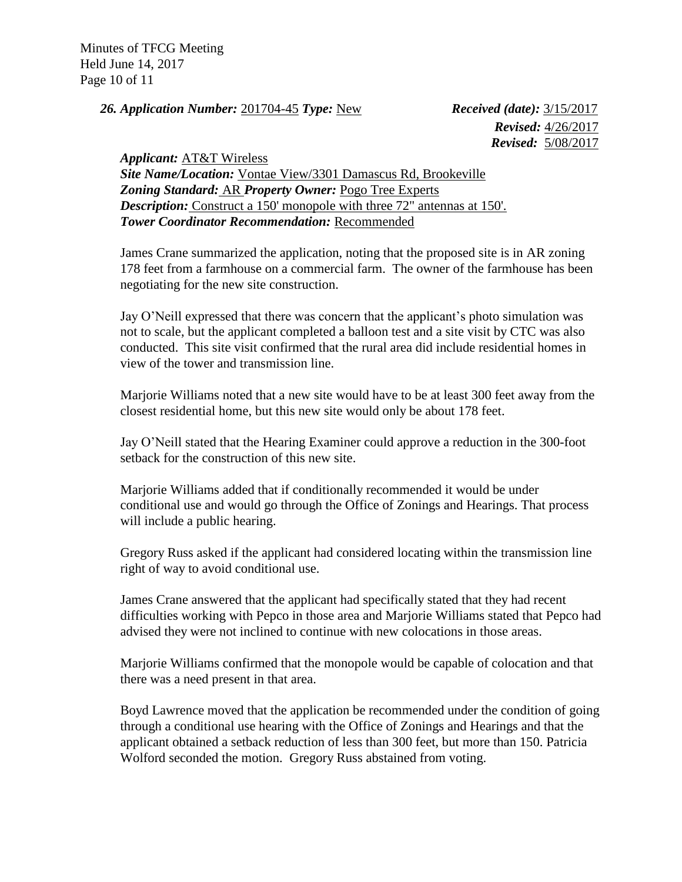Minutes of TFCG Meeting Held June 14, 2017 Page 10 of 11

*26. Application Number:* 201704-45 *Type:* New *Received (date):* 3/15/2017

 *Revised:* 4/26/2017  *Revised:* 5/08/2017

*Applicant:* AT&T Wireless *Site Name/Location:* Vontae View/3301 Damascus Rd, Brookeville *Zoning Standard:* AR *Property Owner:* Pogo Tree Experts *Description:* Construct a 150' monopole with three 72" antennas at 150'. *Tower Coordinator Recommendation:* Recommended

James Crane summarized the application, noting that the proposed site is in AR zoning 178 feet from a farmhouse on a commercial farm. The owner of the farmhouse has been negotiating for the new site construction.

Jay O'Neill expressed that there was concern that the applicant's photo simulation was not to scale, but the applicant completed a balloon test and a site visit by CTC was also conducted. This site visit confirmed that the rural area did include residential homes in view of the tower and transmission line.

Marjorie Williams noted that a new site would have to be at least 300 feet away from the closest residential home, but this new site would only be about 178 feet.

Jay O'Neill stated that the Hearing Examiner could approve a reduction in the 300-foot setback for the construction of this new site.

Marjorie Williams added that if conditionally recommended it would be under conditional use and would go through the Office of Zonings and Hearings. That process will include a public hearing.

Gregory Russ asked if the applicant had considered locating within the transmission line right of way to avoid conditional use.

James Crane answered that the applicant had specifically stated that they had recent difficulties working with Pepco in those area and Marjorie Williams stated that Pepco had advised they were not inclined to continue with new colocations in those areas.

Marjorie Williams confirmed that the monopole would be capable of colocation and that there was a need present in that area.

Boyd Lawrence moved that the application be recommended under the condition of going through a conditional use hearing with the Office of Zonings and Hearings and that the applicant obtained a setback reduction of less than 300 feet, but more than 150. Patricia Wolford seconded the motion. Gregory Russ abstained from voting.